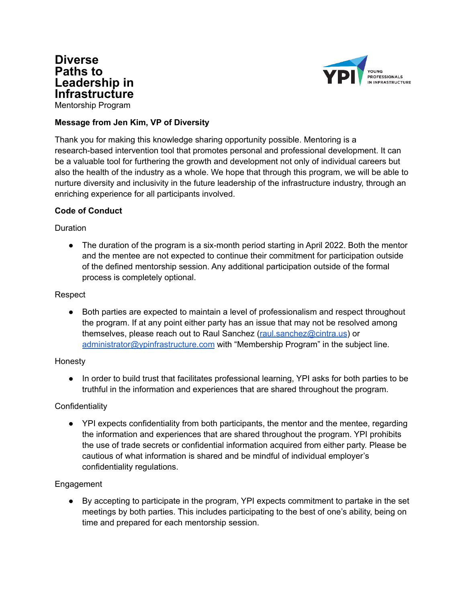



# **Message from Jen Kim, VP of Diversity**

Thank you for making this knowledge sharing opportunity possible. Mentoring is a research-based intervention tool that promotes personal and professional development. It can be a valuable tool for furthering the growth and development not only of individual careers but also the health of the industry as a whole. We hope that through this program, we will be able to nurture diversity and inclusivity in the future leadership of the infrastructure industry, through an enriching experience for all participants involved.

## **Code of Conduct**

## Duration

• The duration of the program is a six-month period starting in April 2022. Both the mentor and the mentee are not expected to continue their commitment for participation outside of the defined mentorship session. Any additional participation outside of the formal process is completely optional.

### Respect

Both parties are expected to maintain a level of professionalism and respect throughout the program. If at any point either party has an issue that may not be resolved among themselves, please reach out to Raul Sanchez [\(raul.sanchez@cintra.us](mailto:raul.sanchez@cintra.us)) or [administrator@ypinfrastructure.com](mailto:administrator@ypinfrastructure.com) with "Membership Program" in the subject line.

## Honesty

● In order to build trust that facilitates professional learning, YPI asks for both parties to be truthful in the information and experiences that are shared throughout the program.

## **Confidentiality**

• YPI expects confidentiality from both participants, the mentor and the mentee, regarding the information and experiences that are shared throughout the program. YPI prohibits the use of trade secrets or confidential information acquired from either party. Please be cautious of what information is shared and be mindful of individual employer's confidentiality regulations.

## Engagement

● By accepting to participate in the program, YPI expects commitment to partake in the set meetings by both parties. This includes participating to the best of one's ability, being on time and prepared for each mentorship session.